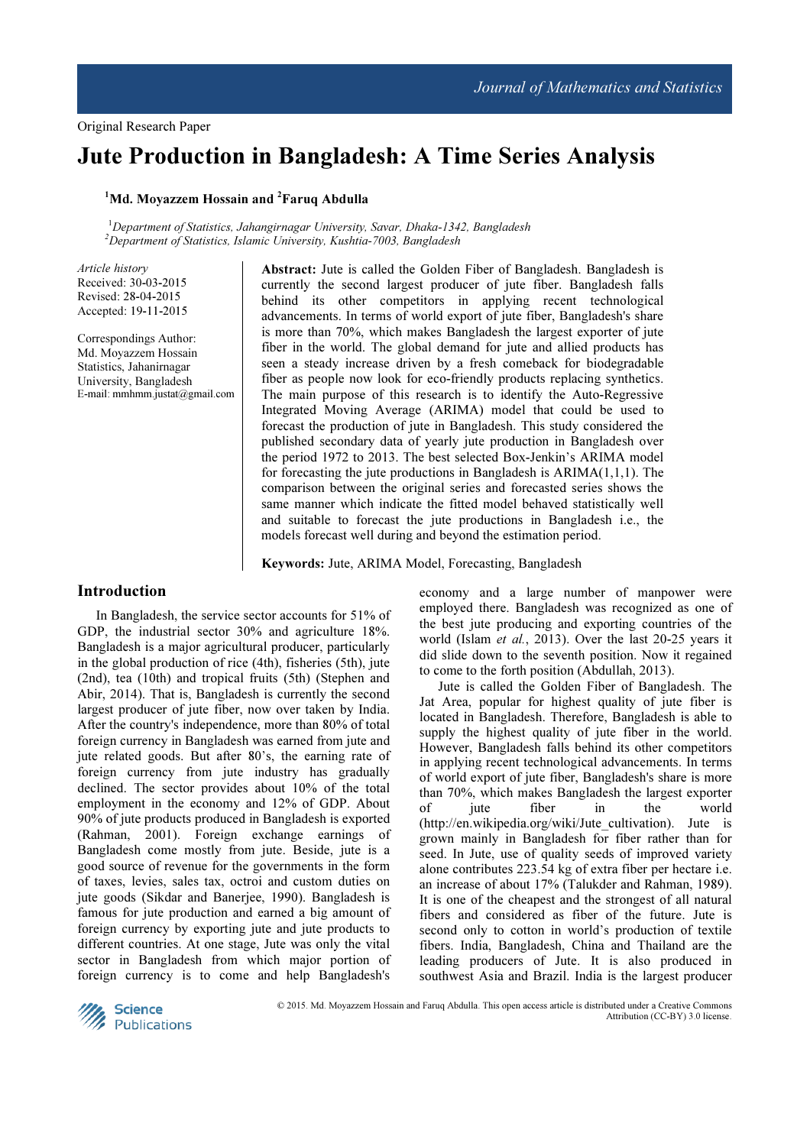# Jute Production in Bangladesh: A Time Series Analysis

### $1$ Md. Movazzem Hossain and  $2$ Faruq Abdulla

 $1$ Department of Statistics, Jahangirnagar University, Savar, Dhaka-1342, Bangladesh  $^{2}$ Department of Statistics, Islamic University, Kushtia-7003, Bangladesh

Article history Received: 30-03-2015 Revised: 28-04-2015 Accepted: 19-11-2015

Correspondings Author: Md. Moyazzem Hossain Statistics, Jahanirnagar University, Bangladesh E-mail: mmhmm.justat@gmail.com Abstract: Jute is called the Golden Fiber of Bangladesh. Bangladesh is currently the second largest producer of jute fiber. Bangladesh falls behind its other competitors in applying recent technological advancements. In terms of world export of jute fiber, Bangladesh's share is more than 70%, which makes Bangladesh the largest exporter of jute fiber in the world. The global demand for jute and allied products has seen a steady increase driven by a fresh comeback for biodegradable fiber as people now look for eco-friendly products replacing synthetics. The main purpose of this research is to identify the Auto-Regressive Integrated Moving Average (ARIMA) model that could be used to forecast the production of jute in Bangladesh. This study considered the published secondary data of yearly jute production in Bangladesh over the period 1972 to 2013. The best selected Box-Jenkin's ARIMA model for forecasting the jute productions in Bangladesh is  $ARIMA(1,1,1)$ . The comparison between the original series and forecasted series shows the same manner which indicate the fitted model behaved statistically well and suitable to forecast the jute productions in Bangladesh i.e., the models forecast well during and beyond the estimation period.

Keywords: Jute, ARIMA Model, Forecasting, Bangladesh

# Introduction

In Bangladesh, the service sector accounts for 51% of GDP, the industrial sector 30% and agriculture 18%. Bangladesh is a major agricultural producer, particularly in the global production of rice (4th), fisheries (5th), jute (2nd), tea (10th) and tropical fruits (5th) (Stephen and Abir, 2014). That is, Bangladesh is currently the second largest producer of jute fiber, now over taken by India. After the country's independence, more than 80% of total foreign currency in Bangladesh was earned from jute and jute related goods. But after 80's, the earning rate of foreign currency from jute industry has gradually declined. The sector provides about 10% of the total employment in the economy and 12% of GDP. About 90% of jute products produced in Bangladesh is exported (Rahman, 2001). Foreign exchange earnings of Bangladesh come mostly from jute. Beside, jute is a good source of revenue for the governments in the form of taxes, levies, sales tax, octroi and custom duties on jute goods (Sikdar and Banerjee, 1990). Bangladesh is famous for jute production and earned a big amount of foreign currency by exporting jute and jute products to different countries. At one stage, Jute was only the vital sector in Bangladesh from which major portion of foreign currency is to come and help Bangladesh's

economy and a large number of manpower were employed there. Bangladesh was recognized as one of the best jute producing and exporting countries of the world (Islam et al., 2013). Over the last 20-25 years it did slide down to the seventh position. Now it regained to come to the forth position (Abdullah, 2013).

Jute is called the Golden Fiber of Bangladesh. The Jat Area, popular for highest quality of jute fiber is located in Bangladesh. Therefore, Bangladesh is able to supply the highest quality of jute fiber in the world. However, Bangladesh falls behind its other competitors in applying recent technological advancements. In terms of world export of jute fiber, Bangladesh's share is more than 70%, which makes Bangladesh the largest exporter of jute fiber in the world (http://en.wikipedia.org/wiki/Jute cultivation). Jute is grown mainly in Bangladesh for fiber rather than for seed. In Jute, use of quality seeds of improved variety alone contributes 223.54 kg of extra fiber per hectare i.e. an increase of about 17% (Talukder and Rahman, 1989). It is one of the cheapest and the strongest of all natural fibers and considered as fiber of the future. Jute is second only to cotton in world's production of textile fibers. India, Bangladesh, China and Thailand are the leading producers of Jute. It is also produced in southwest Asia and Brazil. India is the largest producer



© 2015. Md. Moyazzem Hossain and Faruq Abdulla. This open access article is distributed under a Creative Commons Attribution (CC-BY) 3.0 license.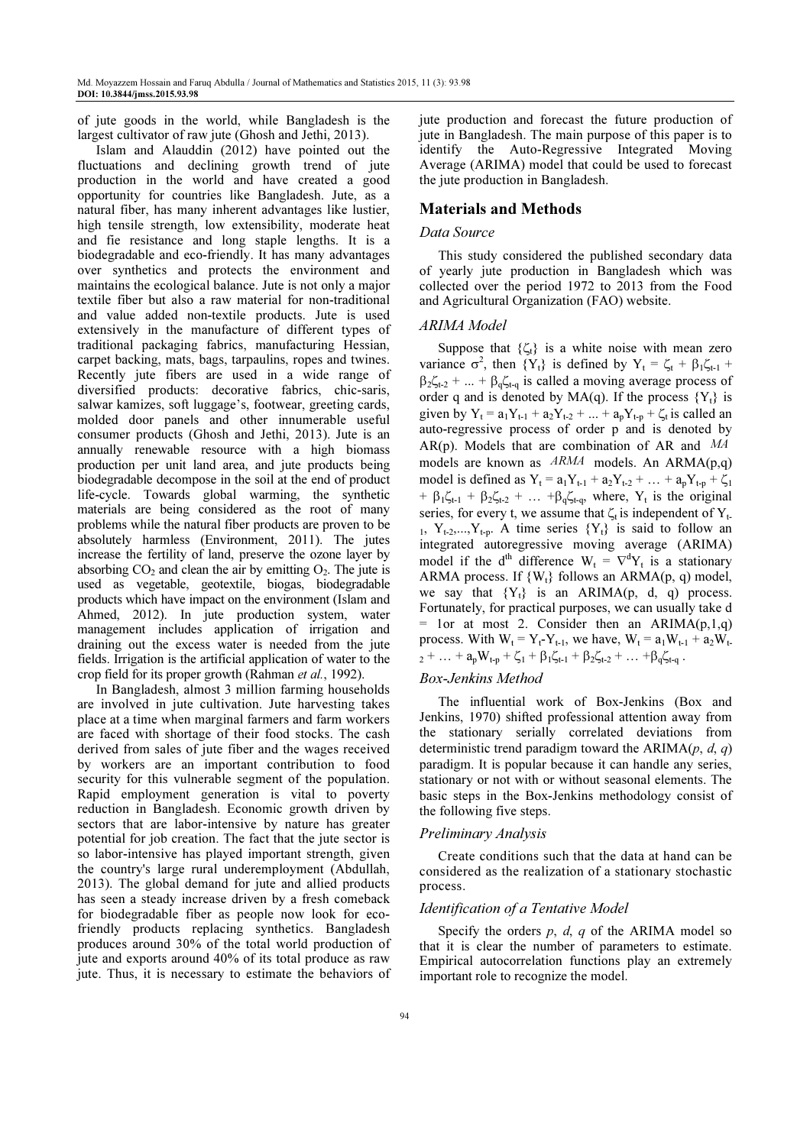of jute goods in the world, while Bangladesh is the largest cultivator of raw jute (Ghosh and Jethi, 2013).

Islam and Alauddin (2012) have pointed out the fluctuations and declining growth trend of jute production in the world and have created a good opportunity for countries like Bangladesh. Jute, as a natural fiber, has many inherent advantages like lustier, high tensile strength, low extensibility, moderate heat and fie resistance and long staple lengths. It is a biodegradable and eco-friendly. It has many advantages over synthetics and protects the environment and maintains the ecological balance. Jute is not only a major textile fiber but also a raw material for non-traditional and value added non-textile products. Jute is used extensively in the manufacture of different types of traditional packaging fabrics, manufacturing Hessian, carpet backing, mats, bags, tarpaulins, ropes and twines. Recently jute fibers are used in a wide range of diversified products: decorative fabrics, chic-saris, salwar kamizes, soft luggage's, footwear, greeting cards, molded door panels and other innumerable useful consumer products (Ghosh and Jethi, 2013). Jute is an annually renewable resource with a high biomass production per unit land area, and jute products being biodegradable decompose in the soil at the end of product life-cycle. Towards global warming, the synthetic materials are being considered as the root of many problems while the natural fiber products are proven to be absolutely harmless (Environment, 2011). The jutes increase the fertility of land, preserve the ozone layer by absorbing  $CO<sub>2</sub>$  and clean the air by emitting  $O<sub>2</sub>$ . The jute is used as vegetable, geotextile, biogas, biodegradable products which have impact on the environment (Islam and Ahmed, 2012). In jute production system, water management includes application of irrigation and draining out the excess water is needed from the jute fields. Irrigation is the artificial application of water to the crop field for its proper growth (Rahman et al., 1992).

In Bangladesh, almost 3 million farming households are involved in jute cultivation. Jute harvesting takes place at a time when marginal farmers and farm workers are faced with shortage of their food stocks. The cash derived from sales of jute fiber and the wages received by workers are an important contribution to food security for this vulnerable segment of the population. Rapid employment generation is vital to poverty reduction in Bangladesh. Economic growth driven by sectors that are labor-intensive by nature has greater potential for job creation. The fact that the jute sector is so labor-intensive has played important strength, given the country's large rural underemployment (Abdullah, 2013). The global demand for jute and allied products has seen a steady increase driven by a fresh comeback for biodegradable fiber as people now look for ecofriendly products replacing synthetics. Bangladesh produces around 30% of the total world production of jute and exports around 40% of its total produce as raw jute. Thus, it is necessary to estimate the behaviors of jute production and forecast the future production of jute in Bangladesh. The main purpose of this paper is to identify the Auto-Regressive Integrated Moving Average (ARIMA) model that could be used to forecast the jute production in Bangladesh.

### Materials and Methods

### Data Source

This study considered the published secondary data of yearly jute production in Bangladesh which was collected over the period 1972 to 2013 from the Food and Agricultural Organization (FAO) website.

### ARIMA Model

Suppose that  $\{\zeta_t\}$  is a white noise with mean zero variance  $\sigma^2$ , then  $\{Y_t\}$  is defined by  $Y_t = \zeta_t + \beta_1 \zeta_{t-1} +$  $\beta_2 \zeta_{t-2} + ... + \beta_0 \zeta_{t-q}$  is called a moving average process of order q and is denoted by  $MA(q)$ . If the process  ${Y_t}$  is given by  $Y_t = a_1 Y_{t-1} + a_2 Y_{t-2} + ... + a_p Y_{t-p} + \zeta_t$  is called an auto-regressive process of order p and is denoted by AR(p). Models that are combination of AR and MA models are known as  $ARMA$  models. An  $ARMA(p,q)$ model is defined as  $Y_t = a_1 Y_{t-1} + a_2 Y_{t-2} + ... + a_p Y_{t-p} + \zeta_1$ +  $\beta_1 \zeta_{t-1}$  +  $\beta_2 \zeta_{t-2}$  + ... +  $\beta_3 \zeta_{t-q}$ , where,  $Y_t$  is the original series, for every t, we assume that  $\zeta_t$  is independent of  $Y_t$ . 1,  $Y_{t-2},...,Y_{t-p}$ . A time series  $\{Y_t\}$  is said to follow an integrated autoregressive moving average (ARIMA) model if the d<sup>th</sup> difference  $W_t = \nabla^d Y_t$  is a stationary ARMA process. If  $\{W_t\}$  follows an ARMA(p, q) model, we say that  ${Y_t}$  is an ARIMA(p, d, q) process. Fortunately, for practical purposes, we can usually take d  $=$  1or at most 2. Consider then an ARIMA(p,1,q) process. With  $W_t = Y_t - Y_{t-1}$ , we have,  $W_t = a_1 W_{t-1} + a_2 W_{t-1}$  $2^+ \ldots + a_p W_{t-p} + \zeta_1 + \beta_1 \zeta_{t-1} + \beta_2 \zeta_{t-2} + \ldots + \beta_q \zeta_{t-q}$ .

# Box-Jenkins Method

The influential work of Box-Jenkins (Box and Jenkins, 1970) shifted professional attention away from the stationary serially correlated deviations from deterministic trend paradigm toward the ARIMA $(p, d, q)$ paradigm. It is popular because it can handle any series, stationary or not with or without seasonal elements. The basic steps in the Box-Jenkins methodology consist of the following five steps.

#### Preliminary Analysis

Create conditions such that the data at hand can be considered as the realization of a stationary stochastic process.

### Identification of a Tentative Model

Specify the orders  $p$ ,  $d$ ,  $q$  of the ARIMA model so that it is clear the number of parameters to estimate. Empirical autocorrelation functions play an extremely important role to recognize the model.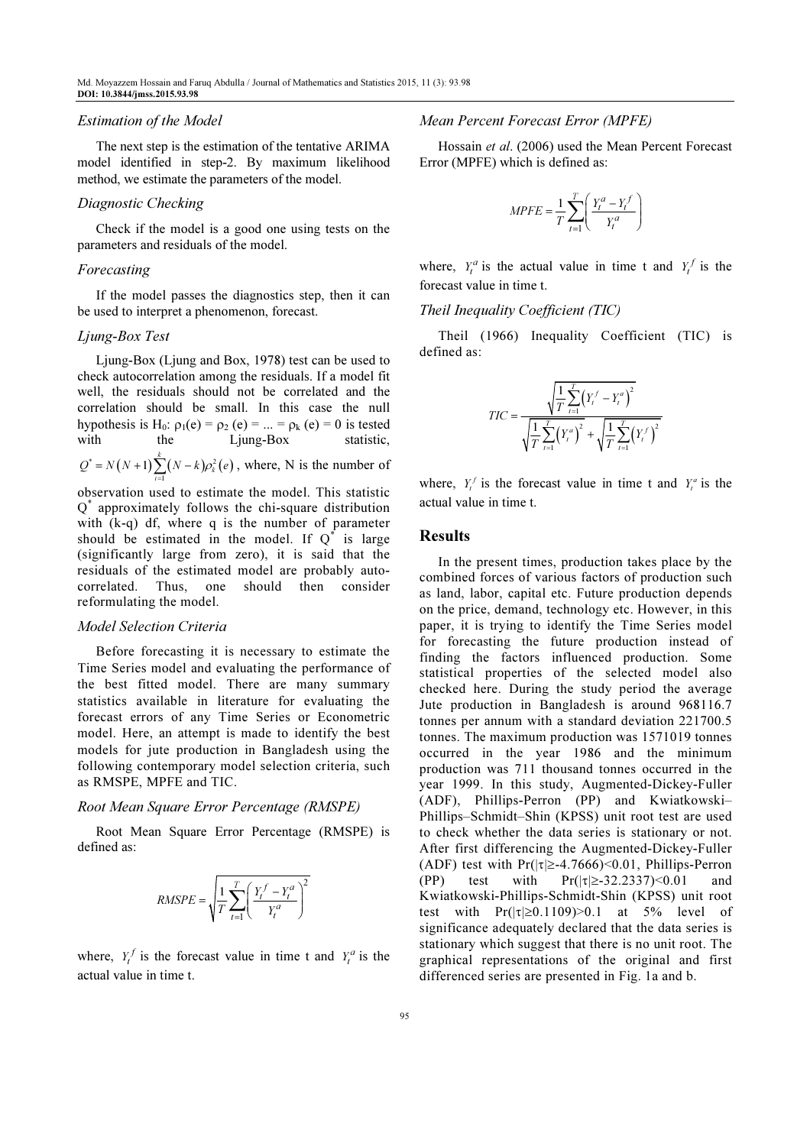#### Estimation of the Model

The next step is the estimation of the tentative ARIMA model identified in step-2. By maximum likelihood method, we estimate the parameters of the model.

### Diagnostic Checking

Check if the model is a good one using tests on the parameters and residuals of the model.

#### Forecasting

If the model passes the diagnostics step, then it can be used to interpret a phenomenon, forecast.

# Ljung-Box Test

Ljung-Box (Ljung and Box, 1978) test can be used to check autocorrelation among the residuals. If a model fit well, the residuals should not be correlated and the correlation should be small. In this case the null hypothesis is H<sub>0</sub>:  $\rho_1(e) = \rho_2(e) = ... = \rho_k(e) = 0$  is tested with the Ljung-Box statistic,

 $f^* = N(N+1) \sum_{i=1}^{N} (N-k) \rho_k^2(e)$  $\overline{11}$  $Q^* = N(N+1) \sum_{i=1}^{N} (N-k) \rho_k^2(e)$ , where, N is the number of

observation used to estimate the model. This statistic Q \* approximately follows the chi-square distribution with (k-q) df, where q is the number of parameter should be estimated in the model. If  $Q^*$  is large (significantly large from zero), it is said that the residuals of the estimated model are probably autocorrelated. Thus, one should then consider reformulating the model.

#### Model Selection Criteria

Before forecasting it is necessary to estimate the Time Series model and evaluating the performance of the best fitted model. There are many summary statistics available in literature for evaluating the forecast errors of any Time Series or Econometric model. Here, an attempt is made to identify the best models for jute production in Bangladesh using the following contemporary model selection criteria, such as RMSPE, MPFE and TIC.

### Root Mean Square Error Percentage (RMSPE)

Root Mean Square Error Percentage (RMSPE) is defined as:

$$
RMSPE = \sqrt{\frac{1}{T} \sum_{t=1}^{T} \left( \frac{Y_t^f - Y_t^a}{Y_t^a} \right)^2}
$$

where,  $Y_t^f$  is the forecast value in time t and  $Y_t^a$  is the actual value in time t.

### Mean Percent Forecast Error (MPFE)

Hossain et al. (2006) used the Mean Percent Forecast Error (MPFE) which is defined as:

$$
MPFE = \frac{1}{T} \sum_{t=1}^{T} \left( \frac{Y_t^a - Y_t^f}{Y_t^a} \right)
$$

where,  $Y_t^a$  is the actual value in time t and  $Y_t^f$  is the forecast value in time t.

Theil Inequality Coefficient (TIC)

Theil (1966) Inequality Coefficient (TIC) is defined as:

$$
TIC = \frac{\sqrt{\frac{1}{T} \sum_{t=1}^{T} (Y_t^f - Y_t^a)^2}}{\sqrt{\frac{1}{T} \sum_{t=1}^{T} (Y_t^a)^2} + \sqrt{\frac{1}{T} \sum_{t=1}^{T} (Y_t^f)^2}}
$$

where,  $Y_t^f$  is the forecast value in time t and  $Y_t^a$  is the actual value in time t.

### Results

In the present times, production takes place by the combined forces of various factors of production such as land, labor, capital etc. Future production depends on the price, demand, technology etc. However, in this paper, it is trying to identify the Time Series model for forecasting the future production instead of finding the factors influenced production. Some statistical properties of the selected model also checked here. During the study period the average Jute production in Bangladesh is around 968116.7 tonnes per annum with a standard deviation 221700.5 tonnes. The maximum production was 1571019 tonnes occurred in the year 1986 and the minimum production was 711 thousand tonnes occurred in the year 1999. In this study, Augmented-Dickey-Fuller (ADF), Phillips-Perron (PP) and Kwiatkowski– Phillips–Schmidt–Shin (KPSS) unit root test are used to check whether the data series is stationary or not. After first differencing the Augmented-Dickey-Fuller (ADF) test with  $Pr(|\tau| \geq -4.7666) \leq 0.01$ , Phillips-Perron (PP) test with  $Pr(|\tau| \ge 32.2337) \le 0.01$  and Kwiatkowski-Phillips-Schmidt-Shin (KPSS) unit root test with  $Pr(|\tau| \ge 0.1109) > 0.1$  at 5% level of significance adequately declared that the data series is stationary which suggest that there is no unit root. The graphical representations of the original and first differenced series are presented in Fig. 1a and b.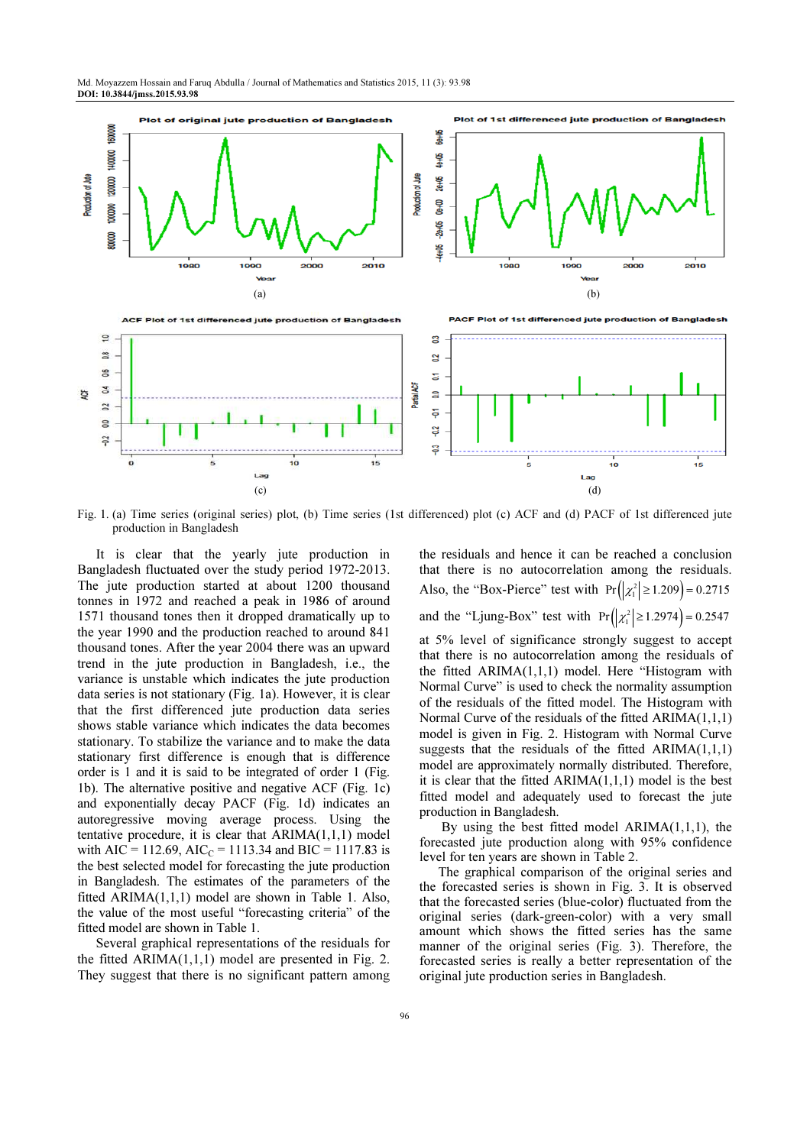

Fig. 1. (a) Time series (original series) plot, (b) Time series (1st differenced) plot (c) ACF and (d) PACF of 1st differenced jute production in Bangladesh

It is clear that the yearly jute production in Bangladesh fluctuated over the study period 1972-2013. The jute production started at about 1200 thousand tonnes in 1972 and reached a peak in 1986 of around 1571 thousand tones then it dropped dramatically up to the year 1990 and the production reached to around 841 thousand tones. After the year 2004 there was an upward trend in the jute production in Bangladesh, i.e., the variance is unstable which indicates the jute production data series is not stationary (Fig. 1a). However, it is clear that the first differenced jute production data series shows stable variance which indicates the data becomes stationary. To stabilize the variance and to make the data stationary first difference is enough that is difference order is 1 and it is said to be integrated of order 1 (Fig. 1b). The alternative positive and negative ACF (Fig. 1c) and exponentially decay PACF (Fig. 1d) indicates an autoregressive moving average process. Using the tentative procedure, it is clear that  $ARIMA(1,1,1)$  model with AIC = 112.69, AIC<sub>C</sub> = 1113.34 and BIC = 1117.83 is the best selected model for forecasting the jute production in Bangladesh. The estimates of the parameters of the fitted ARIMA(1,1,1) model are shown in Table 1. Also, the value of the most useful "forecasting criteria" of the fitted model are shown in Table 1.

Several graphical representations of the residuals for the fitted ARIMA(1,1,1) model are presented in Fig. 2. They suggest that there is no significant pattern among the residuals and hence it can be reached a conclusion that there is no autocorrelation among the residuals. Also, the "Box-Pierce" test with  $Pr(|\chi_1^2| \ge 1.209) = 0.2715$ and the "Ljung-Box" test with  $Pr(|\chi_1^2| \ge 1.2974) = 0.2547$ at 5% level of significance strongly suggest to accept that there is no autocorrelation among the residuals of the fitted ARIMA(1,1,1) model. Here "Histogram with Normal Curve" is used to check the normality assumption of the residuals of the fitted model. The Histogram with Normal Curve of the residuals of the fitted ARIMA(1,1,1) model is given in Fig. 2. Histogram with Normal Curve suggests that the residuals of the fitted  $ARIMA(1,1,1)$ model are approximately normally distributed. Therefore, it is clear that the fitted ARIMA(1,1,1) model is the best fitted model and adequately used to forecast the jute production in Bangladesh.

 By using the best fitted model ARIMA(1,1,1), the forecasted jute production along with 95% confidence level for ten years are shown in Table 2.

The graphical comparison of the original series and the forecasted series is shown in Fig. 3. It is observed that the forecasted series (blue-color) fluctuated from the original series (dark-green-color) with a very small amount which shows the fitted series has the same manner of the original series (Fig. 3). Therefore, the forecasted series is really a better representation of the original jute production series in Bangladesh.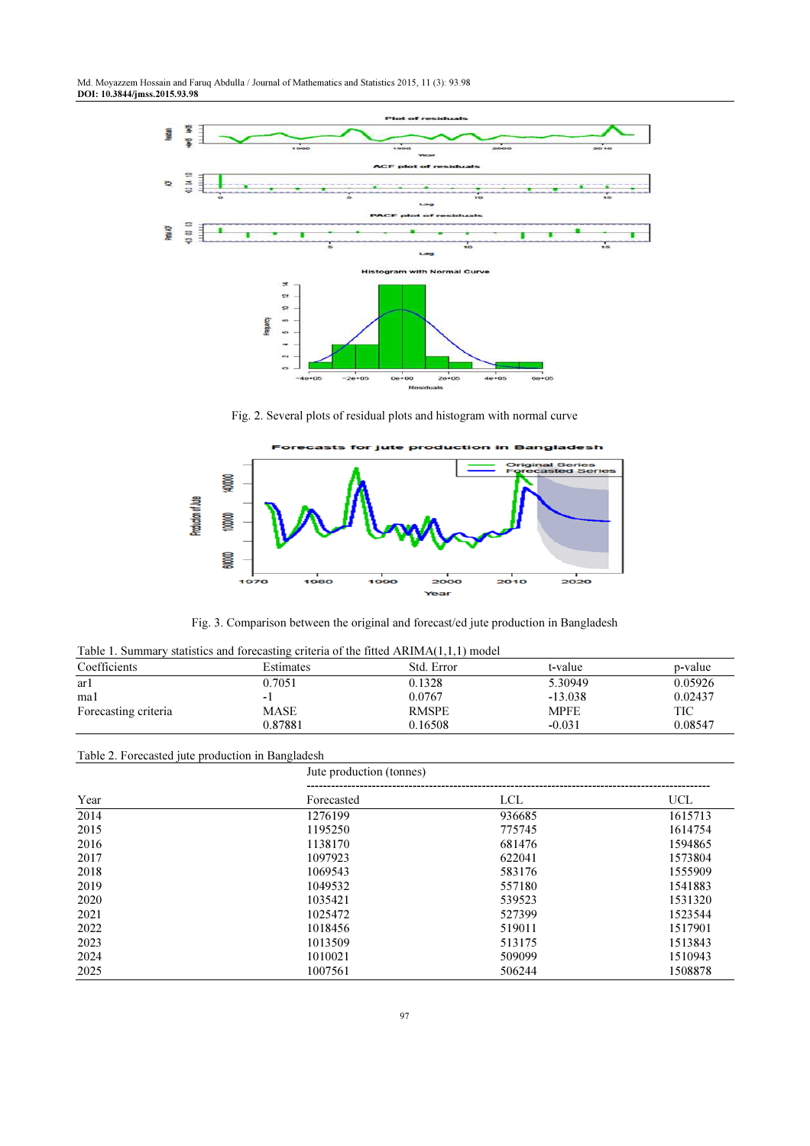

Fig. 2. Several plots of residual plots and histogram with normal curve



Fig. 3. Comparison between the original and forecast/ed jute production in Bangladesh

|  |  |  |  |  | Table 1. Summary statistics and forecasting criteria of the fitted $ARIMA(1,1,1)$ model |  |
|--|--|--|--|--|-----------------------------------------------------------------------------------------|--|
|--|--|--|--|--|-----------------------------------------------------------------------------------------|--|

| Coefficients         | Estimates | Std. Error   | t-value     | p-value |
|----------------------|-----------|--------------|-------------|---------|
| ar1                  | 0.7051    | 0.1328       | 5.30949     | 0.05926 |
| mal                  |           | 0.0767       | $-13.038$   | 0.02437 |
| Forecasting criteria | MASE      | <b>RMSPE</b> | <b>MPFE</b> | TIC     |
|                      | 0.87881   | 0.16508      | $-0.031$    | 0.08547 |

# Table 2. Forecasted jute production in Bangladesh

|      | Jute production (tonnes) |            |            |  |
|------|--------------------------|------------|------------|--|
| Year | Forecasted               | <b>LCL</b> | <b>UCL</b> |  |
| 2014 | 1276199                  | 936685     | 1615713    |  |
| 2015 | 1195250                  | 775745     | 1614754    |  |
| 2016 | 1138170                  | 681476     | 1594865    |  |
| 2017 | 1097923                  | 622041     | 1573804    |  |
| 2018 | 1069543                  | 583176     | 1555909    |  |
| 2019 | 1049532                  | 557180     | 1541883    |  |
| 2020 | 1035421                  | 539523     | 1531320    |  |
| 2021 | 1025472                  | 527399     | 1523544    |  |
| 2022 | 1018456                  | 519011     | 1517901    |  |
| 2023 | 1013509                  | 513175     | 1513843    |  |
| 2024 | 1010021                  | 509099     | 1510943    |  |
| 2025 | 1007561                  | 506244     | 1508878    |  |